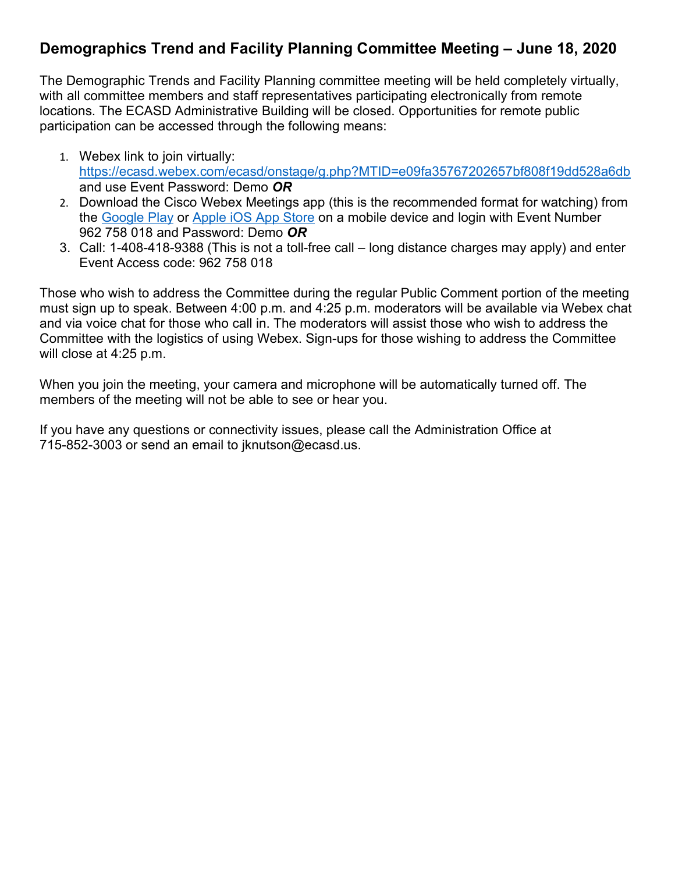## **Demographics Trend and Facility Planning Committee Meeting – June 18, 2020**

The Demographic Trends and Facility Planning committee meeting will be held completely virtually, with all committee members and staff representatives participating electronically from remote locations. The ECASD Administrative Building will be closed. Opportunities for remote public participation can be accessed through the following means:

- 1. Webex link to join virtually: <https://ecasd.webex.com/ecasd/onstage/g.php?MTID=e09fa35767202657bf808f19dd528a6db> and use Event Password: Demo *OR*
- 2. Download the Cisco Webex Meetings app (this is the recommended format for watching) from the [Google Play](https://play.google.com/store/apps/details?id=com.cisco.webex.meetings) or [Apple iOS App Store](https://itunes.apple.com/us/app/cisco-webex-meetings/id298844386) on a mobile device and login with Event Number 962 758 018 and Password: Demo *OR*
- 3. Call: 1-408-418-9388 (This is not a toll-free call long distance charges may apply) and enter Event Access code: 962 758 018

Those who wish to address the Committee during the regular Public Comment portion of the meeting must sign up to speak. Between 4:00 p.m. and 4:25 p.m. moderators will be available via Webex chat and via voice chat for those who call in. The moderators will assist those who wish to address the Committee with the logistics of using Webex. Sign-ups for those wishing to address the Committee will close at 4:25 p.m.

When you join the meeting, your camera and microphone will be automatically turned off. The members of the meeting will not be able to see or hear you.

If you have any questions or connectivity issues, please call the Administration Office at 715-852-3003 or send an email to jknutson@ecasd.us.